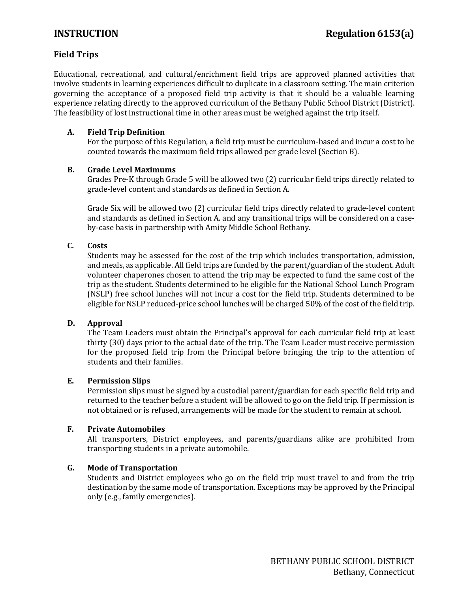# **Field Trips**

Educational, recreational, and cultural/enrichment field trips are approved planned activities that involve students in learning experiences difficult to duplicate in a classroom setting. The main criterion governing the acceptance of a proposed field trip activity is that it should be a valuable learning experience relating directly to the approved curriculum of the Bethany Public School District (District). The feasibility of lost instructional time in other areas must be weighed against the trip itself.

### **A. Field Trip Definition**

For the purpose of this Regulation, a field trip must be curriculum-based and incur a cost to be counted towards the maximum field trips allowed per grade level (Section B).

#### **B. Grade Level Maximums**

Grades Pre-K through Grade 5 will be allowed two (2) curricular field trips directly related to grade-level content and standards as defined in Section A.

Grade Six will be allowed two (2) curricular field trips directly related to grade-level content and standards as defined in Section A. and any transitional trips will be considered on a caseby-case basis in partnership with Amity Middle School Bethany.

### **C. Costs**

Students may be assessed for the cost of the trip which includes transportation, admission, and meals, as applicable. All field trips are funded by the parent/guardian of the student. Adult volunteer chaperones chosen to attend the trip may be expected to fund the same cost of the trip as the student. Students determined to be eligible for the National School Lunch Program (NSLP) free school lunches will not incur a cost for the field trip. Students determined to be eligible for NSLP reduced-price school lunches will be charged 50% of the cost of the field trip.

#### **D. Approval**

The Team Leaders must obtain the Principal's approval for each curricular field trip at least thirty (30) days prior to the actual date of the trip. The Team Leader must receive permission for the proposed field trip from the Principal before bringing the trip to the attention of students and their families.

#### **E. Permission Slips**

Permission slips must be signed by a custodial parent/guardian for each specific field trip and returned to the teacher before a student will be allowed to go on the field trip. If permission is not obtained or is refused, arrangements will be made for the student to remain at school.

#### **F. Private Automobiles**

All transporters, District employees, and parents/guardians alike are prohibited from transporting students in a private automobile.

#### **G. Mode of Transportation**

Students and District employees who go on the field trip must travel to and from the trip destination by the same mode of transportation. Exceptions may be approved by the Principal only (e.g., family emergencies).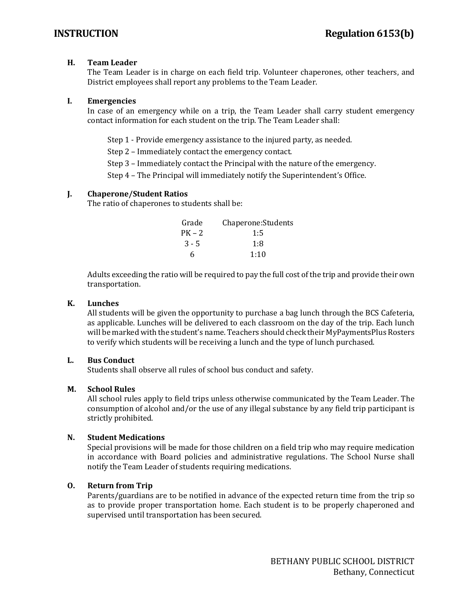#### **H. Team Leader**

The Team Leader is in charge on each field trip. Volunteer chaperones, other teachers, and District employees shall report any problems to the Team Leader.

#### **I. Emergencies**

In case of an emergency while on a trip, the Team Leader shall carry student emergency contact information for each student on the trip. The Team Leader shall:

Step 1 - Provide emergency assistance to the injured party, as needed.

Step 2 – Immediately contact the emergency contact.

Step 3 – Immediately contact the Principal with the nature of the emergency.

Step 4 – The Principal will immediately notify the Superintendent's Office.

#### **J. Chaperone/Student Ratios**

The ratio of chaperones to students shall be:

| Grade   | Chaperone: Students |
|---------|---------------------|
| PK – 2  | 1:5                 |
| $3 - 5$ | 1:8                 |
| 6       | 1:10                |
|         |                     |

Adults exceeding the ratio will be required to pay the full cost of the trip and provide their own transportation.

#### **K. Lunches**

All students will be given the opportunity to purchase a bag lunch through the BCS Cafeteria, as applicable. Lunches will be delivered to each classroom on the day of the trip. Each lunch will be marked with the student's name. Teachers should check their MyPaymentsPlus Rosters to verify which students will be receiving a lunch and the type of lunch purchased.

#### **L. Bus Conduct**

Students shall observe all rules of school bus conduct and safety.

### **M. School Rules**

All school rules apply to field trips unless otherwise communicated by the Team Leader. The consumption of alcohol and/or the use of any illegal substance by any field trip participant is strictly prohibited.

### **N. Student Medications**

Special provisions will be made for those children on a field trip who may require medication in accordance with Board policies and administrative regulations. The School Nurse shall notify the Team Leader of students requiring medications.

### **O. Return from Trip**

Parents/guardians are to be notified in advance of the expected return time from the trip so as to provide proper transportation home. Each student is to be properly chaperoned and supervised until transportation has been secured.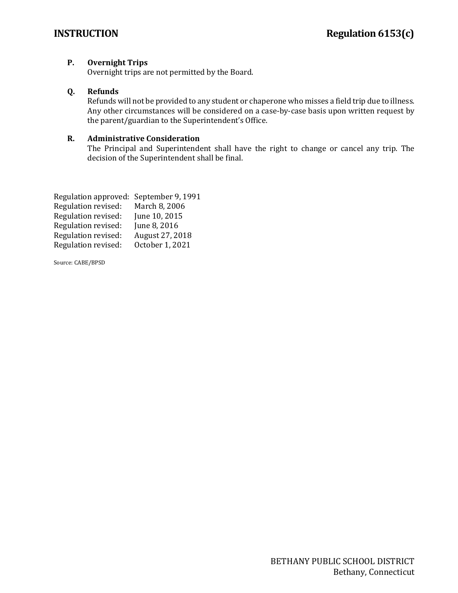# **P. Overnight Trips**

Overnight trips are not permitted by the Board.

# **Q. Refunds**

Refunds will not be provided to any student or chaperone who misses a field trip due to illness. Any other circumstances will be considered on a case-by-case basis upon written request by the parent/guardian to the Superintendent's Office.

# **R. Administrative Consideration**

The Principal and Superintendent shall have the right to change or cancel any trip. The decision of the Superintendent shall be final.

| Regulation approved: September 9, 1991 |                 |
|----------------------------------------|-----------------|
| Regulation revised:                    | March 8, 2006   |
| Regulation revised:                    | June 10, 2015   |
| Regulation revised:                    | June 8, 2016    |
| Regulation revised:                    | August 27, 2018 |
| Regulation revised:                    | October 1, 2021 |
|                                        |                 |

Source: CABE/BPSD